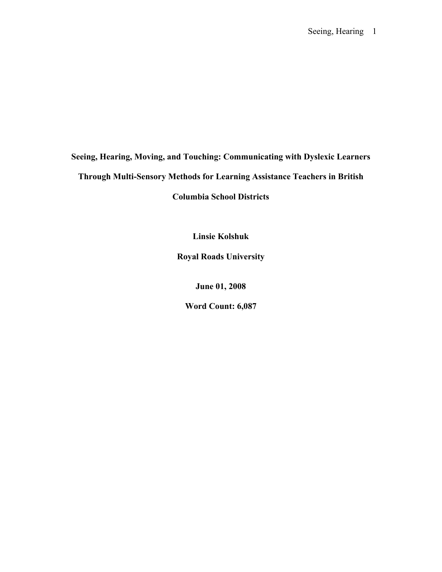# **Seeing, Hearing, Moving, and Touching: Communicating with Dyslexic Learners Through Multi-Sensory Methods for Learning Assistance Teachers in British**

**Columbia School Districts**

**Linsie Kolshuk**

**Royal Roads University**

**June 01, 2008**

**Word Count: 6,087**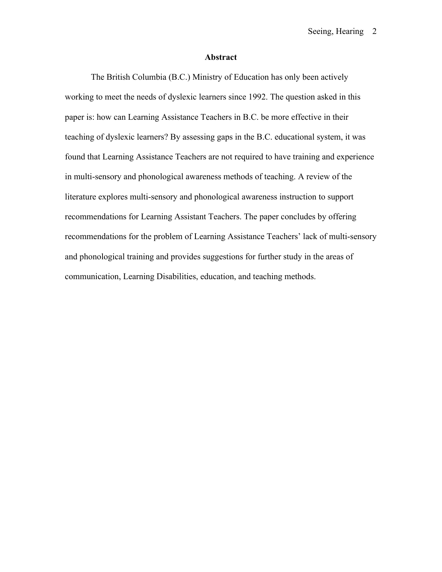#### **Abstract**

The British Columbia (B.C.) Ministry of Education has only been actively working to meet the needs of dyslexic learners since 1992. The question asked in this paper is: how can Learning Assistance Teachers in B.C. be more effective in their teaching of dyslexic learners? By assessing gaps in the B.C. educational system, it was found that Learning Assistance Teachers are not required to have training and experience in multi-sensory and phonological awareness methods of teaching. A review of the literature explores multi-sensory and phonological awareness instruction to support recommendations for Learning Assistant Teachers. The paper concludes by offering recommendations for the problem of Learning Assistance Teachers' lack of multi-sensory and phonological training and provides suggestions for further study in the areas of communication, Learning Disabilities, education, and teaching methods.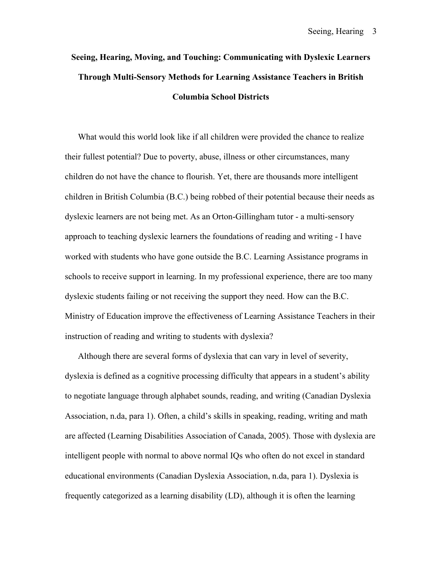# **Seeing, Hearing, Moving, and Touching: Communicating with Dyslexic Learners Through Multi-Sensory Methods for Learning Assistance Teachers in British Columbia School Districts**

What would this world look like if all children were provided the chance to realize their fullest potential? Due to poverty, abuse, illness or other circumstances, many children do not have the chance to flourish. Yet, there are thousands more intelligent children in British Columbia (B.C.) being robbed of their potential because their needs as dyslexic learners are not being met. As an Orton-Gillingham tutor - a multi-sensory approach to teaching dyslexic learners the foundations of reading and writing - I have worked with students who have gone outside the B.C. Learning Assistance programs in schools to receive support in learning. In my professional experience, there are too many dyslexic students failing or not receiving the support they need. How can the B.C. Ministry of Education improve the effectiveness of Learning Assistance Teachers in their instruction of reading and writing to students with dyslexia?

Although there are several forms of dyslexia that can vary in level of severity, dyslexia is defined as a cognitive processing difficulty that appears in a student's ability to negotiate language through alphabet sounds, reading, and writing (Canadian Dyslexia Association, n.da, para 1). Often, a child's skills in speaking, reading, writing and math are affected (Learning Disabilities Association of Canada, 2005). Those with dyslexia are intelligent people with normal to above normal IQs who often do not excel in standard educational environments (Canadian Dyslexia Association, n.da, para 1). Dyslexia is frequently categorized as a learning disability (LD), although it is often the learning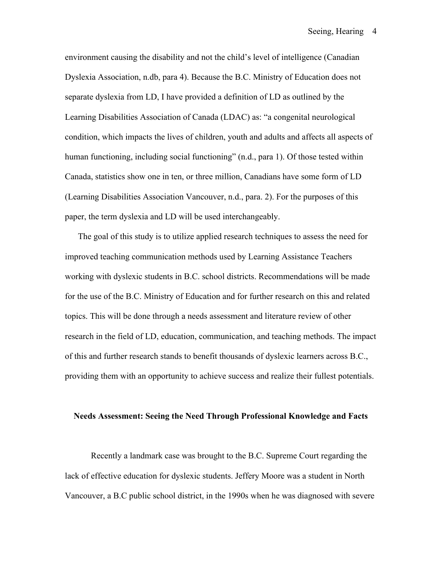environment causing the disability and not the child's level of intelligence (Canadian Dyslexia Association, n.db, para 4). Because the B.C. Ministry of Education does not separate dyslexia from LD, I have provided a definition of LD as outlined by the Learning Disabilities Association of Canada (LDAC) as: "a congenital neurological condition, which impacts the lives of children, youth and adults and affects all aspects of human functioning, including social functioning" (n.d., para 1). Of those tested within Canada, statistics show one in ten, or three million, Canadians have some form of LD (Learning Disabilities Association Vancouver, n.d., para. 2). For the purposes of this paper, the term dyslexia and LD will be used interchangeably.

The goal of this study is to utilize applied research techniques to assess the need for improved teaching communication methods used by Learning Assistance Teachers working with dyslexic students in B.C. school districts. Recommendations will be made for the use of the B.C. Ministry of Education and for further research on this and related topics. This will be done through a needs assessment and literature review of other research in the field of LD, education, communication, and teaching methods. The impact of this and further research stands to benefit thousands of dyslexic learners across B.C., providing them with an opportunity to achieve success and realize their fullest potentials.

#### **Needs Assessment: Seeing the Need Through Professional Knowledge and Facts**

Recently a landmark case was brought to the B.C. Supreme Court regarding the lack of effective education for dyslexic students. Jeffery Moore was a student in North Vancouver, a B.C public school district, in the 1990s when he was diagnosed with severe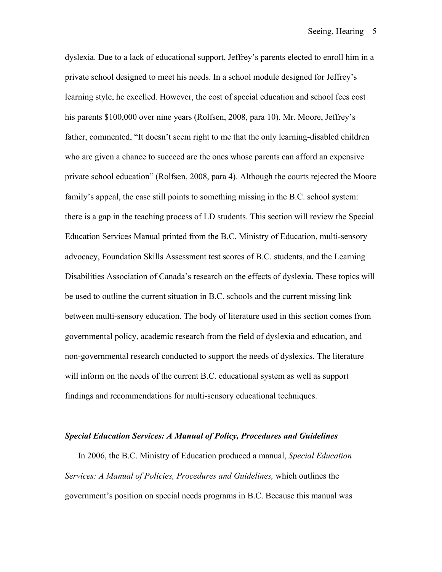dyslexia. Due to a lack of educational support, Jeffrey's parents elected to enroll him in a private school designed to meet his needs. In a school module designed for Jeffrey's learning style, he excelled. However, the cost of special education and school fees cost his parents \$100,000 over nine years (Rolfsen, 2008, para 10). Mr. Moore, Jeffrey's father, commented, "It doesn't seem right to me that the only learning-disabled children who are given a chance to succeed are the ones whose parents can afford an expensive private school education" (Rolfsen, 2008, para 4). Although the courts rejected the Moore family's appeal, the case still points to something missing in the B.C. school system: there is a gap in the teaching process of LD students. This section will review the Special Education Services Manual printed from the B.C. Ministry of Education, multi-sensory advocacy, Foundation Skills Assessment test scores of B.C. students, and the Learning Disabilities Association of Canada's research on the effects of dyslexia. These topics will be used to outline the current situation in B.C. schools and the current missing link between multi-sensory education. The body of literature used in this section comes from governmental policy, academic research from the field of dyslexia and education, and non-governmental research conducted to support the needs of dyslexics. The literature will inform on the needs of the current B.C. educational system as well as support findings and recommendations for multi-sensory educational techniques.

## *Special Education Services: A Manual of Policy, Procedures and Guidelines*

In 2006, the B.C. Ministry of Education produced a manual, *Special Education Services: A Manual of Policies, Procedures and Guidelines,* which outlines the government's position on special needs programs in B.C. Because this manual was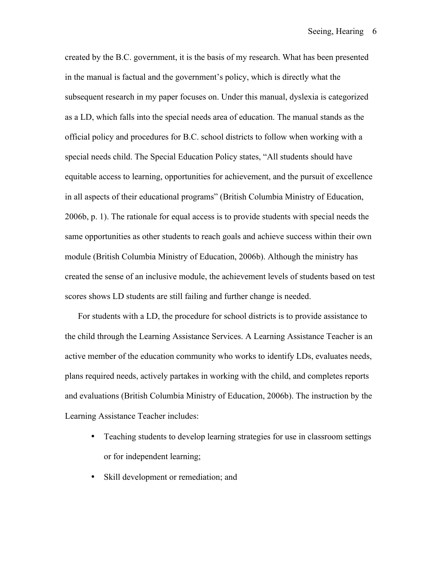created by the B.C. government, it is the basis of my research. What has been presented in the manual is factual and the government's policy, which is directly what the subsequent research in my paper focuses on. Under this manual, dyslexia is categorized as a LD, which falls into the special needs area of education. The manual stands as the official policy and procedures for B.C. school districts to follow when working with a special needs child. The Special Education Policy states, "All students should have equitable access to learning, opportunities for achievement, and the pursuit of excellence in all aspects of their educational programs" (British Columbia Ministry of Education, 2006b, p. 1). The rationale for equal access is to provide students with special needs the same opportunities as other students to reach goals and achieve success within their own module (British Columbia Ministry of Education, 2006b). Although the ministry has created the sense of an inclusive module, the achievement levels of students based on test scores shows LD students are still failing and further change is needed.

For students with a LD, the procedure for school districts is to provide assistance to the child through the Learning Assistance Services. A Learning Assistance Teacher is an active member of the education community who works to identify LDs, evaluates needs, plans required needs, actively partakes in working with the child, and completes reports and evaluations (British Columbia Ministry of Education, 2006b). The instruction by the Learning Assistance Teacher includes:

- Teaching students to develop learning strategies for use in classroom settings or for independent learning;
- Skill development or remediation; and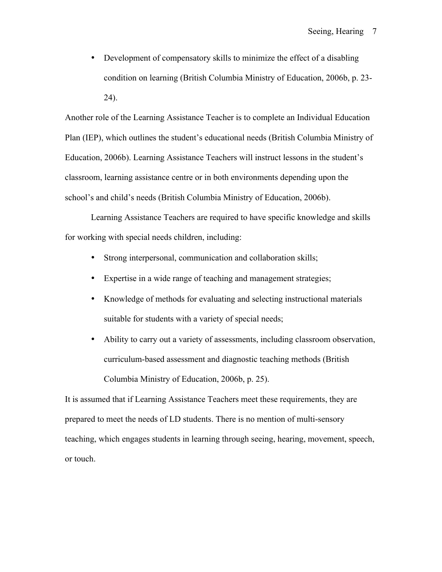• Development of compensatory skills to minimize the effect of a disabling condition on learning (British Columbia Ministry of Education, 2006b, p. 23- 24).

Another role of the Learning Assistance Teacher is to complete an Individual Education Plan (IEP), which outlines the student's educational needs (British Columbia Ministry of Education, 2006b). Learning Assistance Teachers will instruct lessons in the student's classroom, learning assistance centre or in both environments depending upon the school's and child's needs (British Columbia Ministry of Education, 2006b).

Learning Assistance Teachers are required to have specific knowledge and skills for working with special needs children, including:

- Strong interpersonal, communication and collaboration skills;
- Expertise in a wide range of teaching and management strategies;
- Knowledge of methods for evaluating and selecting instructional materials suitable for students with a variety of special needs;
- Ability to carry out a variety of assessments, including classroom observation, curriculum-based assessment and diagnostic teaching methods (British Columbia Ministry of Education, 2006b, p. 25).

It is assumed that if Learning Assistance Teachers meet these requirements, they are prepared to meet the needs of LD students. There is no mention of multi-sensory teaching, which engages students in learning through seeing, hearing, movement, speech, or touch.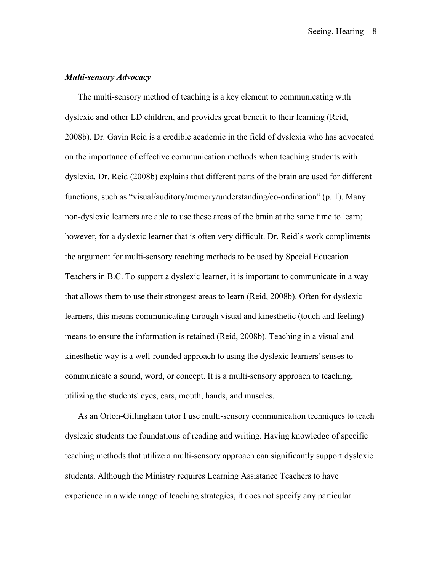# *Multi-sensory Advocacy*

The multi-sensory method of teaching is a key element to communicating with dyslexic and other LD children, and provides great benefit to their learning (Reid, 2008b). Dr. Gavin Reid is a credible academic in the field of dyslexia who has advocated on the importance of effective communication methods when teaching students with dyslexia. Dr. Reid (2008b) explains that different parts of the brain are used for different functions, such as "visual/auditory/memory/understanding/co-ordination" (p. 1). Many non-dyslexic learners are able to use these areas of the brain at the same time to learn; however, for a dyslexic learner that is often very difficult. Dr. Reid's work compliments the argument for multi-sensory teaching methods to be used by Special Education Teachers in B.C. To support a dyslexic learner, it is important to communicate in a way that allows them to use their strongest areas to learn (Reid, 2008b). Often for dyslexic learners, this means communicating through visual and kinesthetic (touch and feeling) means to ensure the information is retained (Reid, 2008b). Teaching in a visual and kinesthetic way is a well-rounded approach to using the dyslexic learners' senses to communicate a sound, word, or concept. It is a multi-sensory approach to teaching, utilizing the students' eyes, ears, mouth, hands, and muscles.

As an Orton-Gillingham tutor I use multi-sensory communication techniques to teach dyslexic students the foundations of reading and writing. Having knowledge of specific teaching methods that utilize a multi-sensory approach can significantly support dyslexic students. Although the Ministry requires Learning Assistance Teachers to have experience in a wide range of teaching strategies, it does not specify any particular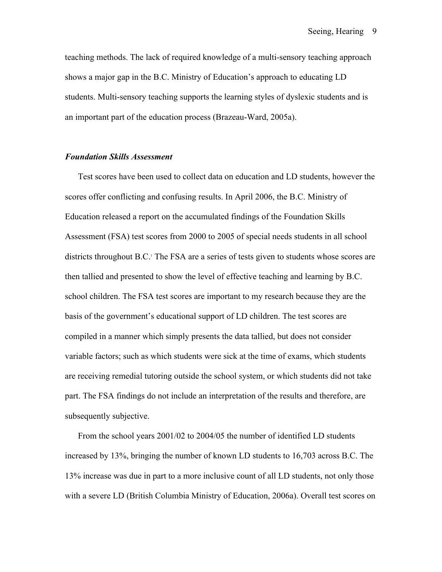teaching methods. The lack of required knowledge of a multi-sensory teaching approach shows a major gap in the B.C. Ministry of Education's approach to educating LD students. Multi-sensory teaching supports the learning styles of dyslexic students and is an important part of the education process (Brazeau-Ward, 2005a).

#### *Foundation Skills Assessment*

Test scores have been used to collect data on education and LD students, however the scores offer conflicting and confusing results. In April 2006, the B.C. Ministry of Education released a report on the accumulated findings of the Foundation Skills Assessment (FSA) test scores from 2000 to 2005 of special needs students in all school districts throughout B.C.<sup>1</sup> The FSA are a series of tests given to students whose scores are then tallied and presented to show the level of effective teaching and learning by B.C. school children. The FSA test scores are important to my research because they are the basis of the government's educational support of LD children. The test scores are compiled in a manner which simply presents the data tallied, but does not consider variable factors; such as which students were sick at the time of exams, which students are receiving remedial tutoring outside the school system, or which students did not take part. The FSA findings do not include an interpretation of the results and therefore, are subsequently subjective.

From the school years 2001/02 to 2004/05 the number of identified LD students increased by 13%, bringing the number of known LD students to 16,703 across B.C. The 13% increase was due in part to a more inclusive count of all LD students, not only those with a severe LD (British Columbia Ministry of Education, 2006a). Overall test scores on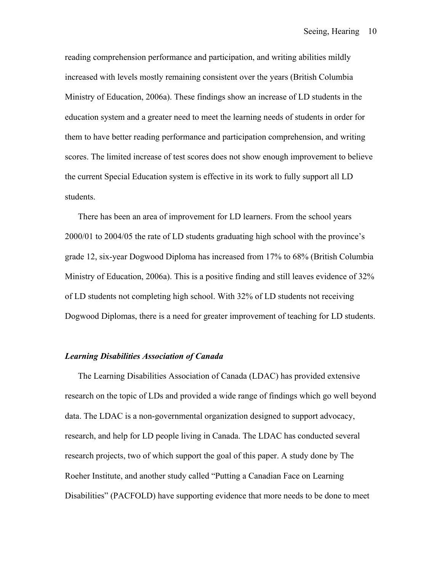reading comprehension performance and participation, and writing abilities mildly increased with levels mostly remaining consistent over the years (British Columbia Ministry of Education, 2006a). These findings show an increase of LD students in the education system and a greater need to meet the learning needs of students in order for them to have better reading performance and participation comprehension, and writing scores. The limited increase of test scores does not show enough improvement to believe the current Special Education system is effective in its work to fully support all LD students.

There has been an area of improvement for LD learners. From the school years 2000/01 to 2004/05 the rate of LD students graduating high school with the province's grade 12, six-year Dogwood Diploma has increased from 17% to 68% (British Columbia Ministry of Education, 2006a). This is a positive finding and still leaves evidence of 32% of LD students not completing high school. With 32% of LD students not receiving Dogwood Diplomas, there is a need for greater improvement of teaching for LD students.

# *Learning Disabilities Association of Canada*

The Learning Disabilities Association of Canada (LDAC) has provided extensive research on the topic of LDs and provided a wide range of findings which go well beyond data. The LDAC is a non-governmental organization designed to support advocacy, research, and help for LD people living in Canada. The LDAC has conducted several research projects, two of which support the goal of this paper. A study done by The Roeher Institute, and another study called "Putting a Canadian Face on Learning Disabilities" (PACFOLD) have supporting evidence that more needs to be done to meet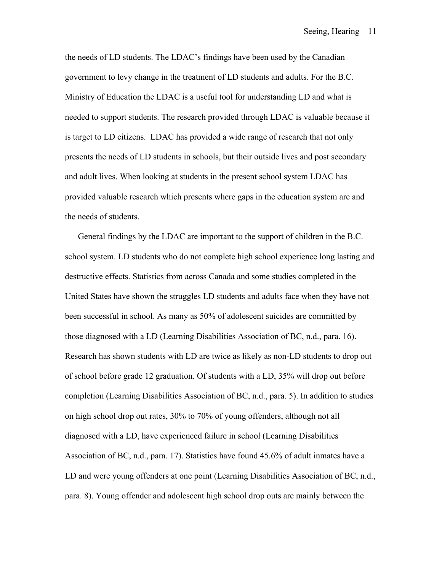the needs of LD students. The LDAC's findings have been used by the Canadian government to levy change in the treatment of LD students and adults. For the B.C. Ministry of Education the LDAC is a useful tool for understanding LD and what is needed to support students. The research provided through LDAC is valuable because it is target to LD citizens. LDAC has provided a wide range of research that not only presents the needs of LD students in schools, but their outside lives and post secondary and adult lives. When looking at students in the present school system LDAC has provided valuable research which presents where gaps in the education system are and the needs of students.

General findings by the LDAC are important to the support of children in the B.C. school system. LD students who do not complete high school experience long lasting and destructive effects. Statistics from across Canada and some studies completed in the United States have shown the struggles LD students and adults face when they have not been successful in school. As many as 50% of adolescent suicides are committed by those diagnosed with a LD (Learning Disabilities Association of BC, n.d., para. 16). Research has shown students with LD are twice as likely as non-LD students to drop out of school before grade 12 graduation. Of students with a LD, 35% will drop out before completion (Learning Disabilities Association of BC, n.d., para. 5). In addition to studies on high school drop out rates, 30% to 70% of young offenders, although not all diagnosed with a LD, have experienced failure in school (Learning Disabilities Association of BC, n.d., para. 17). Statistics have found 45.6% of adult inmates have a LD and were young offenders at one point (Learning Disabilities Association of BC, n.d., para. 8). Young offender and adolescent high school drop outs are mainly between the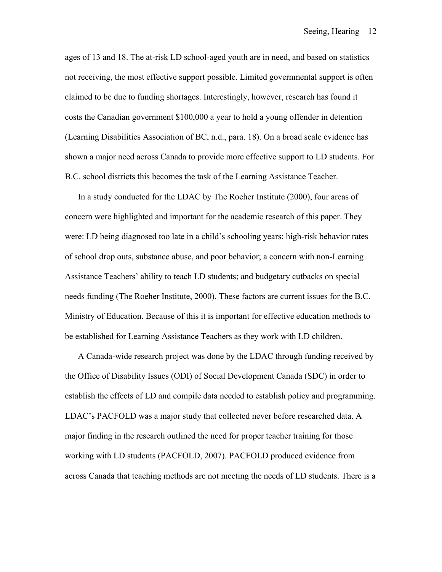ages of 13 and 18. The at-risk LD school-aged youth are in need, and based on statistics not receiving, the most effective support possible. Limited governmental support is often claimed to be due to funding shortages. Interestingly, however, research has found it costs the Canadian government \$100,000 a year to hold a young offender in detention (Learning Disabilities Association of BC, n.d., para. 18). On a broad scale evidence has shown a major need across Canada to provide more effective support to LD students. For B.C. school districts this becomes the task of the Learning Assistance Teacher.

In a study conducted for the LDAC by The Roeher Institute (2000), four areas of concern were highlighted and important for the academic research of this paper. They were: LD being diagnosed too late in a child's schooling years; high-risk behavior rates of school drop outs, substance abuse, and poor behavior; a concern with non-Learning Assistance Teachers' ability to teach LD students; and budgetary cutbacks on special needs funding (The Roeher Institute, 2000). These factors are current issues for the B.C. Ministry of Education. Because of this it is important for effective education methods to be established for Learning Assistance Teachers as they work with LD children.

A Canada-wide research project was done by the LDAC through funding received by the Office of Disability Issues (ODI) of Social Development Canada (SDC) in order to establish the effects of LD and compile data needed to establish policy and programming. LDAC's PACFOLD was a major study that collected never before researched data. A major finding in the research outlined the need for proper teacher training for those working with LD students (PACFOLD, 2007). PACFOLD produced evidence from across Canada that teaching methods are not meeting the needs of LD students. There is a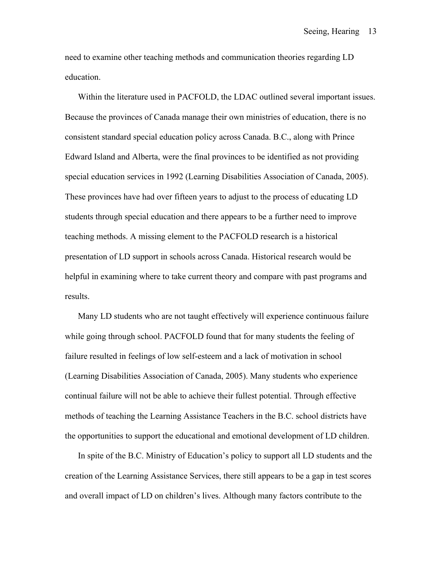need to examine other teaching methods and communication theories regarding LD education.

Within the literature used in PACFOLD, the LDAC outlined several important issues. Because the provinces of Canada manage their own ministries of education, there is no consistent standard special education policy across Canada. B.C., along with Prince Edward Island and Alberta, were the final provinces to be identified as not providing special education services in 1992 (Learning Disabilities Association of Canada, 2005). These provinces have had over fifteen years to adjust to the process of educating LD students through special education and there appears to be a further need to improve teaching methods. A missing element to the PACFOLD research is a historical presentation of LD support in schools across Canada. Historical research would be helpful in examining where to take current theory and compare with past programs and results.

Many LD students who are not taught effectively will experience continuous failure while going through school. PACFOLD found that for many students the feeling of failure resulted in feelings of low self-esteem and a lack of motivation in school (Learning Disabilities Association of Canada, 2005). Many students who experience continual failure will not be able to achieve their fullest potential. Through effective methods of teaching the Learning Assistance Teachers in the B.C. school districts have the opportunities to support the educational and emotional development of LD children.

In spite of the B.C. Ministry of Education's policy to support all LD students and the creation of the Learning Assistance Services, there still appears to be a gap in test scores and overall impact of LD on children's lives. Although many factors contribute to the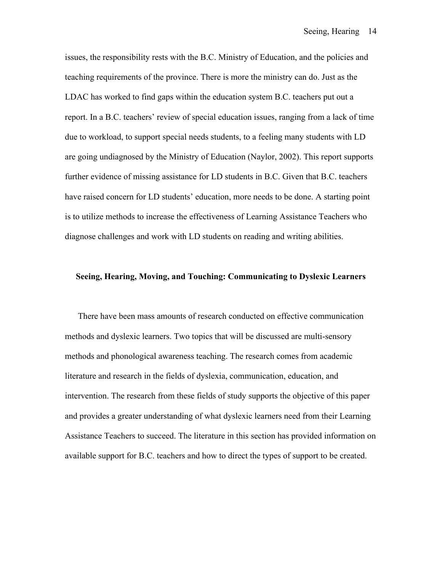issues, the responsibility rests with the B.C. Ministry of Education, and the policies and teaching requirements of the province. There is more the ministry can do. Just as the LDAC has worked to find gaps within the education system B.C. teachers put out a report. In a B.C. teachers' review of special education issues, ranging from a lack of time due to workload, to support special needs students, to a feeling many students with LD are going undiagnosed by the Ministry of Education (Naylor, 2002). This report supports further evidence of missing assistance for LD students in B.C. Given that B.C. teachers have raised concern for LD students' education, more needs to be done. A starting point is to utilize methods to increase the effectiveness of Learning Assistance Teachers who diagnose challenges and work with LD students on reading and writing abilities.

# **Seeing, Hearing, Moving, and Touching: Communicating to Dyslexic Learners**

There have been mass amounts of research conducted on effective communication methods and dyslexic learners. Two topics that will be discussed are multi-sensory methods and phonological awareness teaching. The research comes from academic literature and research in the fields of dyslexia, communication, education, and intervention. The research from these fields of study supports the objective of this paper and provides a greater understanding of what dyslexic learners need from their Learning Assistance Teachers to succeed. The literature in this section has provided information on available support for B.C. teachers and how to direct the types of support to be created.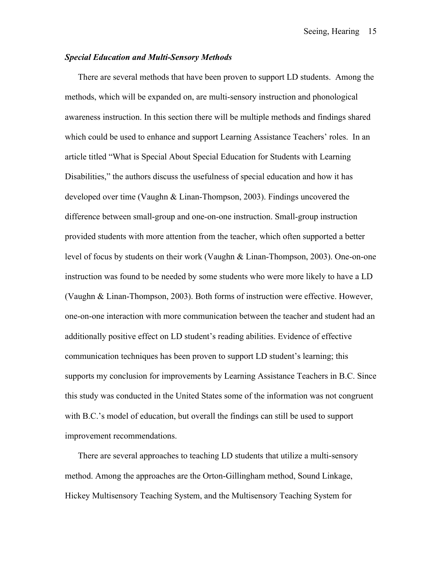# *Special Education and Multi-Sensory Methods*

There are several methods that have been proven to support LD students. Among the methods, which will be expanded on, are multi-sensory instruction and phonological awareness instruction. In this section there will be multiple methods and findings shared which could be used to enhance and support Learning Assistance Teachers' roles. In an article titled "What is Special About Special Education for Students with Learning Disabilities," the authors discuss the usefulness of special education and how it has developed over time (Vaughn & Linan-Thompson, 2003). Findings uncovered the difference between small-group and one-on-one instruction. Small-group instruction provided students with more attention from the teacher, which often supported a better level of focus by students on their work (Vaughn & Linan-Thompson, 2003). One-on-one instruction was found to be needed by some students who were more likely to have a LD (Vaughn & Linan-Thompson, 2003). Both forms of instruction were effective. However, one-on-one interaction with more communication between the teacher and student had an additionally positive effect on LD student's reading abilities. Evidence of effective communication techniques has been proven to support LD student's learning; this supports my conclusion for improvements by Learning Assistance Teachers in B.C. Since this study was conducted in the United States some of the information was not congruent with B.C.'s model of education, but overall the findings can still be used to support improvement recommendations.

There are several approaches to teaching LD students that utilize a multi-sensory method. Among the approaches are the Orton-Gillingham method, Sound Linkage, Hickey Multisensory Teaching System, and the Multisensory Teaching System for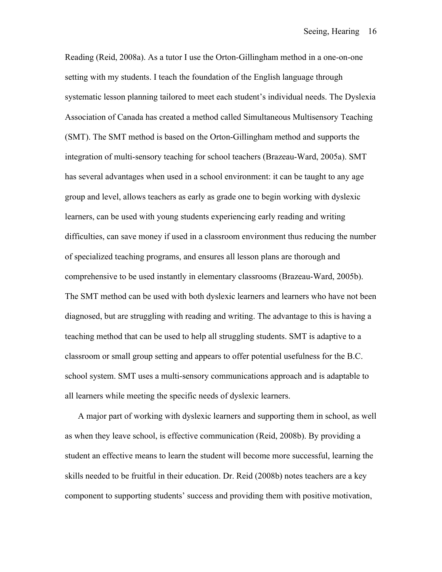Reading (Reid, 2008a). As a tutor I use the Orton-Gillingham method in a one-on-one setting with my students. I teach the foundation of the English language through systematic lesson planning tailored to meet each student's individual needs. The Dyslexia Association of Canada has created a method called Simultaneous Multisensory Teaching (SMT). The SMT method is based on the Orton-Gillingham method and supports the integration of multi-sensory teaching for school teachers (Brazeau-Ward, 2005a). SMT has several advantages when used in a school environment: it can be taught to any age group and level, allows teachers as early as grade one to begin working with dyslexic learners, can be used with young students experiencing early reading and writing difficulties, can save money if used in a classroom environment thus reducing the number of specialized teaching programs, and ensures all lesson plans are thorough and comprehensive to be used instantly in elementary classrooms (Brazeau-Ward, 2005b). The SMT method can be used with both dyslexic learners and learners who have not been diagnosed, but are struggling with reading and writing. The advantage to this is having a teaching method that can be used to help all struggling students. SMT is adaptive to a classroom or small group setting and appears to offer potential usefulness for the B.C. school system. SMT uses a multi-sensory communications approach and is adaptable to all learners while meeting the specific needs of dyslexic learners.

A major part of working with dyslexic learners and supporting them in school, as well as when they leave school, is effective communication (Reid, 2008b). By providing a student an effective means to learn the student will become more successful, learning the skills needed to be fruitful in their education. Dr. Reid (2008b) notes teachers are a key component to supporting students' success and providing them with positive motivation,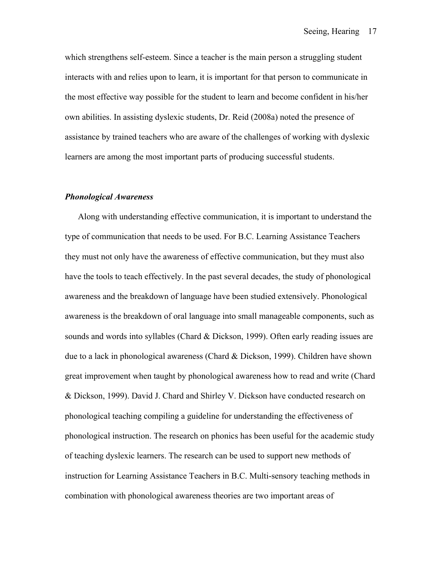which strengthens self-esteem. Since a teacher is the main person a struggling student interacts with and relies upon to learn, it is important for that person to communicate in the most effective way possible for the student to learn and become confident in his/her own abilities. In assisting dyslexic students, Dr. Reid (2008a) noted the presence of assistance by trained teachers who are aware of the challenges of working with dyslexic learners are among the most important parts of producing successful students.

#### *Phonological Awareness*

Along with understanding effective communication, it is important to understand the type of communication that needs to be used. For B.C. Learning Assistance Teachers they must not only have the awareness of effective communication, but they must also have the tools to teach effectively. In the past several decades, the study of phonological awareness and the breakdown of language have been studied extensively. Phonological awareness is the breakdown of oral language into small manageable components, such as sounds and words into syllables (Chard & Dickson, 1999). Often early reading issues are due to a lack in phonological awareness (Chard & Dickson, 1999). Children have shown great improvement when taught by phonological awareness how to read and write (Chard & Dickson, 1999). David J. Chard and Shirley V. Dickson have conducted research on phonological teaching compiling a guideline for understanding the effectiveness of phonological instruction. The research on phonics has been useful for the academic study of teaching dyslexic learners. The research can be used to support new methods of instruction for Learning Assistance Teachers in B.C. Multi-sensory teaching methods in combination with phonological awareness theories are two important areas of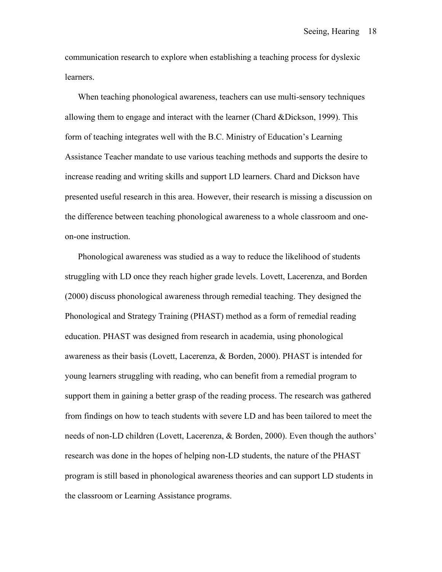communication research to explore when establishing a teaching process for dyslexic learners.

When teaching phonological awareness, teachers can use multi-sensory techniques allowing them to engage and interact with the learner (Chard &Dickson, 1999). This form of teaching integrates well with the B.C. Ministry of Education's Learning Assistance Teacher mandate to use various teaching methods and supports the desire to increase reading and writing skills and support LD learners. Chard and Dickson have presented useful research in this area. However, their research is missing a discussion on the difference between teaching phonological awareness to a whole classroom and oneon-one instruction.

Phonological awareness was studied as a way to reduce the likelihood of students struggling with LD once they reach higher grade levels. Lovett, Lacerenza, and Borden (2000) discuss phonological awareness through remedial teaching. They designed the Phonological and Strategy Training (PHAST) method as a form of remedial reading education. PHAST was designed from research in academia, using phonological awareness as their basis (Lovett, Lacerenza, & Borden, 2000). PHAST is intended for young learners struggling with reading, who can benefit from a remedial program to support them in gaining a better grasp of the reading process. The research was gathered from findings on how to teach students with severe LD and has been tailored to meet the needs of non-LD children (Lovett, Lacerenza, & Borden, 2000). Even though the authors' research was done in the hopes of helping non-LD students, the nature of the PHAST program is still based in phonological awareness theories and can support LD students in the classroom or Learning Assistance programs.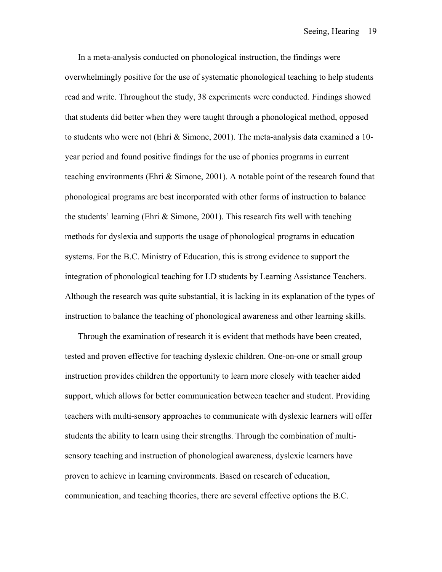In a meta-analysis conducted on phonological instruction, the findings were overwhelmingly positive for the use of systematic phonological teaching to help students read and write. Throughout the study, 38 experiments were conducted. Findings showed that students did better when they were taught through a phonological method, opposed to students who were not (Ehri & Simone, 2001). The meta-analysis data examined a 10 year period and found positive findings for the use of phonics programs in current teaching environments (Ehri & Simone, 2001). A notable point of the research found that phonological programs are best incorporated with other forms of instruction to balance the students' learning (Ehri & Simone, 2001). This research fits well with teaching methods for dyslexia and supports the usage of phonological programs in education systems. For the B.C. Ministry of Education, this is strong evidence to support the integration of phonological teaching for LD students by Learning Assistance Teachers. Although the research was quite substantial, it is lacking in its explanation of the types of instruction to balance the teaching of phonological awareness and other learning skills.

Through the examination of research it is evident that methods have been created, tested and proven effective for teaching dyslexic children. One-on-one or small group instruction provides children the opportunity to learn more closely with teacher aided support, which allows for better communication between teacher and student. Providing teachers with multi-sensory approaches to communicate with dyslexic learners will offer students the ability to learn using their strengths. Through the combination of multisensory teaching and instruction of phonological awareness, dyslexic learners have proven to achieve in learning environments. Based on research of education, communication, and teaching theories, there are several effective options the B.C.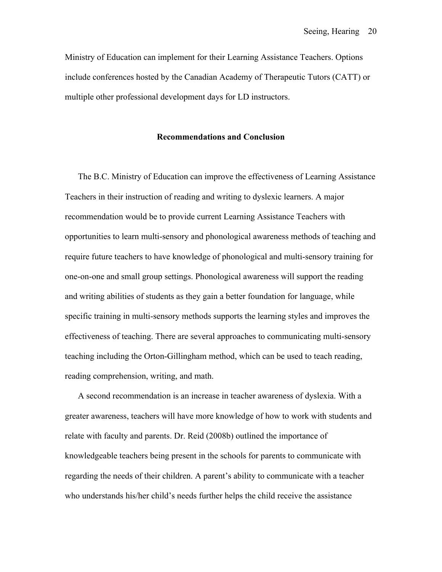Ministry of Education can implement for their Learning Assistance Teachers. Options include conferences hosted by the Canadian Academy of Therapeutic Tutors (CATT) or multiple other professional development days for LD instructors.

#### **Recommendations and Conclusion**

The B.C. Ministry of Education can improve the effectiveness of Learning Assistance Teachers in their instruction of reading and writing to dyslexic learners. A major recommendation would be to provide current Learning Assistance Teachers with opportunities to learn multi-sensory and phonological awareness methods of teaching and require future teachers to have knowledge of phonological and multi-sensory training for one-on-one and small group settings. Phonological awareness will support the reading and writing abilities of students as they gain a better foundation for language, while specific training in multi-sensory methods supports the learning styles and improves the effectiveness of teaching. There are several approaches to communicating multi-sensory teaching including the Orton-Gillingham method, which can be used to teach reading, reading comprehension, writing, and math.

A second recommendation is an increase in teacher awareness of dyslexia. With a greater awareness, teachers will have more knowledge of how to work with students and relate with faculty and parents. Dr. Reid (2008b) outlined the importance of knowledgeable teachers being present in the schools for parents to communicate with regarding the needs of their children. A parent's ability to communicate with a teacher who understands his/her child's needs further helps the child receive the assistance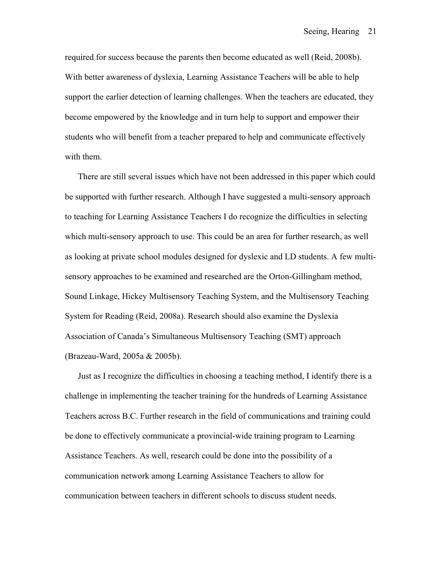required for success because the parents then become educated as well (Reid, 2008b). With better awareness of dyslexia, Learning Assistance Teachers will be able to help support the earlier detection of learning challenges. When the teachers are educated, they become empowered by the knowledge and in turn help to support and empower their students who will benefit from a teacher prepared to help and communicate effectively with them.

There are still several issues which have not been addressed in this paper which could be supported with further research. Although I have suggested a multi-sensory approach to teaching for Learning Assistance Teachers I do recognize the difficulties in selecting which multi-sensory approach to use. This could be an area for further research, as well as looking at private school modules designed for dyslexic and LD students. A few multisensory approaches to be examined and researched are the Orton-Gillingham method, Sound Linkage, Hickey Multisensory Teaching System, and the Multisensory Teaching System for Reading (Reid, 2008a). Research should also examine the Dyslexia Association of Canada's Simultaneous Multisensory Teaching (SMT) approach (Brazeau-Ward, 2005a & 2005b).

Just as I recognize the difficulties in choosing a teaching method, I identify there is a challenge in implementing the teacher training for the hundreds of Learning Assistance Teachers across B.C. Further research in the field of communications and training could be done to effectively communicate a provincial-wide training program to Learning Assistance Teachers. As well, research could be done into the possibility of a communication network among Learning Assistance Teachers to allow for communication between teachers in different schools to discuss student needs.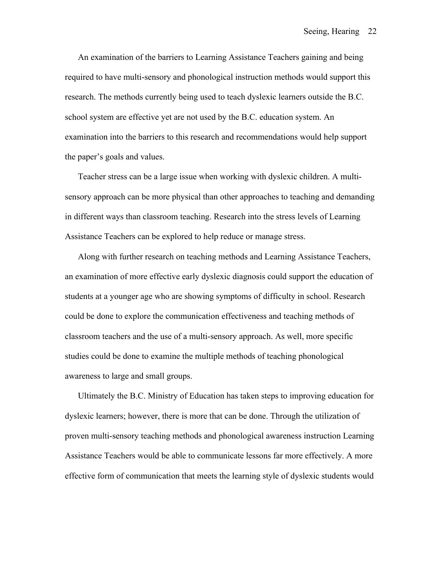An examination of the barriers to Learning Assistance Teachers gaining and being required to have multi-sensory and phonological instruction methods would support this research. The methods currently being used to teach dyslexic learners outside the B.C. school system are effective yet are not used by the B.C. education system. An examination into the barriers to this research and recommendations would help support the paper's goals and values.

Teacher stress can be a large issue when working with dyslexic children. A multisensory approach can be more physical than other approaches to teaching and demanding in different ways than classroom teaching. Research into the stress levels of Learning Assistance Teachers can be explored to help reduce or manage stress.

Along with further research on teaching methods and Learning Assistance Teachers, an examination of more effective early dyslexic diagnosis could support the education of students at a younger age who are showing symptoms of difficulty in school. Research could be done to explore the communication effectiveness and teaching methods of classroom teachers and the use of a multi-sensory approach. As well, more specific studies could be done to examine the multiple methods of teaching phonological awareness to large and small groups.

Ultimately the B.C. Ministry of Education has taken steps to improving education for dyslexic learners; however, there is more that can be done. Through the utilization of proven multi-sensory teaching methods and phonological awareness instruction Learning Assistance Teachers would be able to communicate lessons far more effectively. A more effective form of communication that meets the learning style of dyslexic students would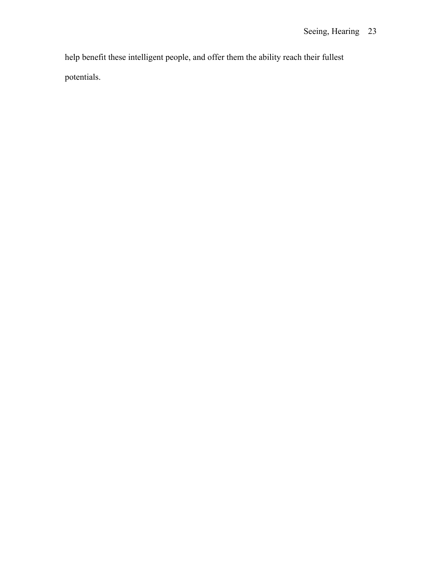help benefit these intelligent people, and offer them the ability reach their fullest potentials.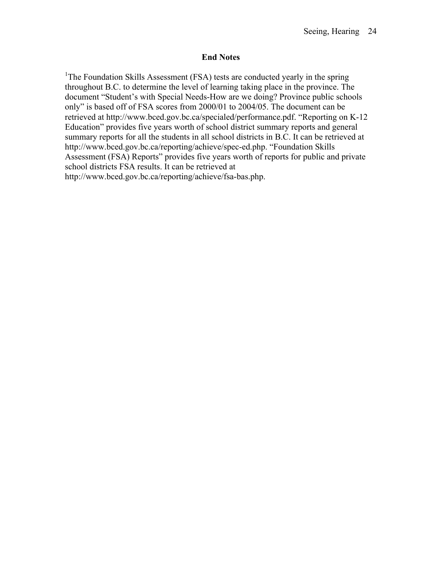# **End Notes**

<sup>1</sup>The Foundation Skills Assessment (FSA) tests are conducted yearly in the spring throughout B.C. to determine the level of learning taking place in the province. The document "Student's with Special Needs-How are we doing? Province public schools only" is based off of FSA scores from 2000/01 to 2004/05. The document can be retrieved at http://www.bced.gov.bc.ca/specialed/performance.pdf. "Reporting on K-12 Education" provides five years worth of school district summary reports and general summary reports for all the students in all school districts in B.C. It can be retrieved at http://www.bced.gov.bc.ca/reporting/achieve/spec-ed.php. "Foundation Skills Assessment (FSA) Reports" provides five years worth of reports for public and private school districts FSA results. It can be retrieved at

http://www.bced.gov.bc.ca/reporting/achieve/fsa-bas.php.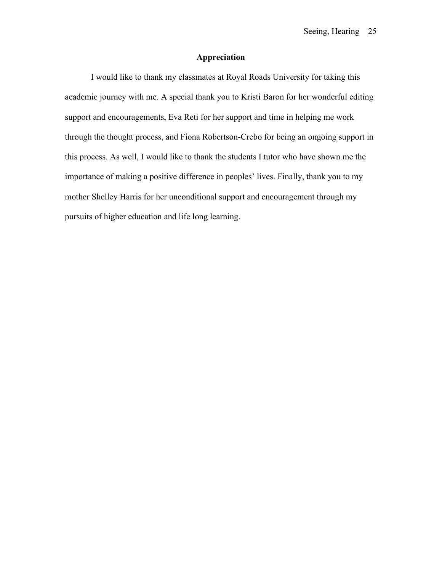# **Appreciation**

I would like to thank my classmates at Royal Roads University for taking this academic journey with me. A special thank you to Kristi Baron for her wonderful editing support and encouragements, Eva Reti for her support and time in helping me work through the thought process, and Fiona Robertson-Crebo for being an ongoing support in this process. As well, I would like to thank the students I tutor who have shown me the importance of making a positive difference in peoples' lives. Finally, thank you to my mother Shelley Harris for her unconditional support and encouragement through my pursuits of higher education and life long learning.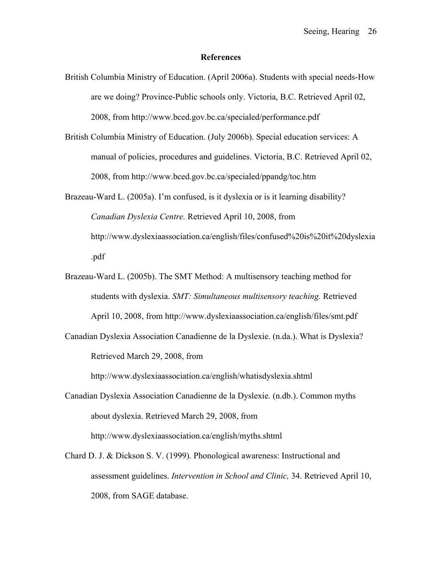#### **References**

- British Columbia Ministry of Education. (April 2006a). Students with special needs-How are we doing? Province-Public schools only. Victoria, B.C. Retrieved April 02, 2008, from http://www.bced.gov.bc.ca/specialed/performance.pdf
- British Columbia Ministry of Education. (July 2006b). Special education services: A manual of policies, procedures and guidelines. Victoria, B.C. Retrieved April 02, 2008, from http://www.bced.gov.bc.ca/specialed/ppandg/toc.htm
- Brazeau-Ward L. (2005a). I'm confused, is it dyslexia or is it learning disability? *Canadian Dyslexia Centre.* Retrieved April 10, 2008, from http://www.dyslexiaassociation.ca/english/files/confused%20is%20it%20dyslexia .pdf
- Brazeau-Ward L. (2005b). The SMT Method: A multisensory teaching method for students with dyslexia. *SMT: Simultaneous multisensory teaching.* Retrieved April 10, 2008, from http://www.dyslexiaassociation.ca/english/files/smt.pdf
- Canadian Dyslexia Association Canadienne de la Dyslexie. (n.da.). What is Dyslexia? Retrieved March 29, 2008, from

http://www.dyslexiaassociation.ca/english/whatisdyslexia.shtml

- Canadian Dyslexia Association Canadienne de la Dyslexie. (n.db.). Common myths about dyslexia. Retrieved March 29, 2008, from http://www.dyslexiaassociation.ca/english/myths.shtml
- Chard D. J. & Dickson S. V. (1999). Phonological awareness: Instructional and assessment guidelines. *Intervention in School and Clinic,* 34. Retrieved April 10, 2008, from SAGE database.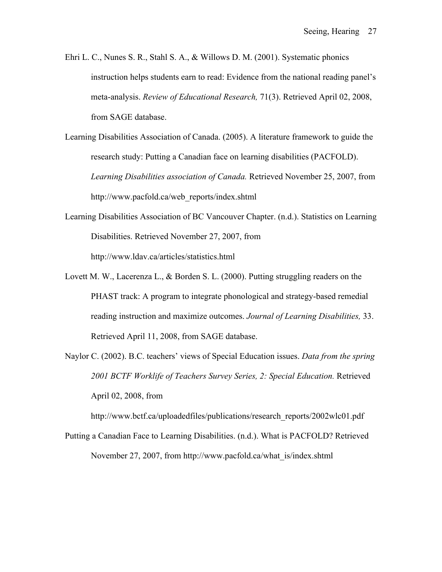- Ehri L. C., Nunes S. R., Stahl S. A., & Willows D. M. (2001). Systematic phonics instruction helps students earn to read: Evidence from the national reading panel's meta-analysis. *Review of Educational Research,* 71(3). Retrieved April 02, 2008, from SAGE database.
- Learning Disabilities Association of Canada. (2005). A literature framework to guide the research study: Putting a Canadian face on learning disabilities (PACFOLD). *Learning Disabilities association of Canada.* Retrieved November 25, 2007, from http://www.pacfold.ca/web\_reports/index.shtml
- Learning Disabilities Association of BC Vancouver Chapter. (n.d.). Statistics on Learning Disabilities. Retrieved November 27, 2007, from http://www.ldav.ca/articles/statistics.html
- Lovett M. W., Lacerenza L., & Borden S. L. (2000). Putting struggling readers on the PHAST track: A program to integrate phonological and strategy-based remedial reading instruction and maximize outcomes. *Journal of Learning Disabilities,* 33. Retrieved April 11, 2008, from SAGE database.
- Naylor C. (2002). B.C. teachers' views of Special Education issues. *Data from the spring 2001 BCTF Worklife of Teachers Survey Series, 2: Special Education.* Retrieved April 02, 2008, from

http://www.bctf.ca/uploadedfiles/publications/research\_reports/2002wlc01.pdf

Putting a Canadian Face to Learning Disabilities. (n.d.). What is PACFOLD? Retrieved November 27, 2007, from http://www.pacfold.ca/what\_is/index.shtml